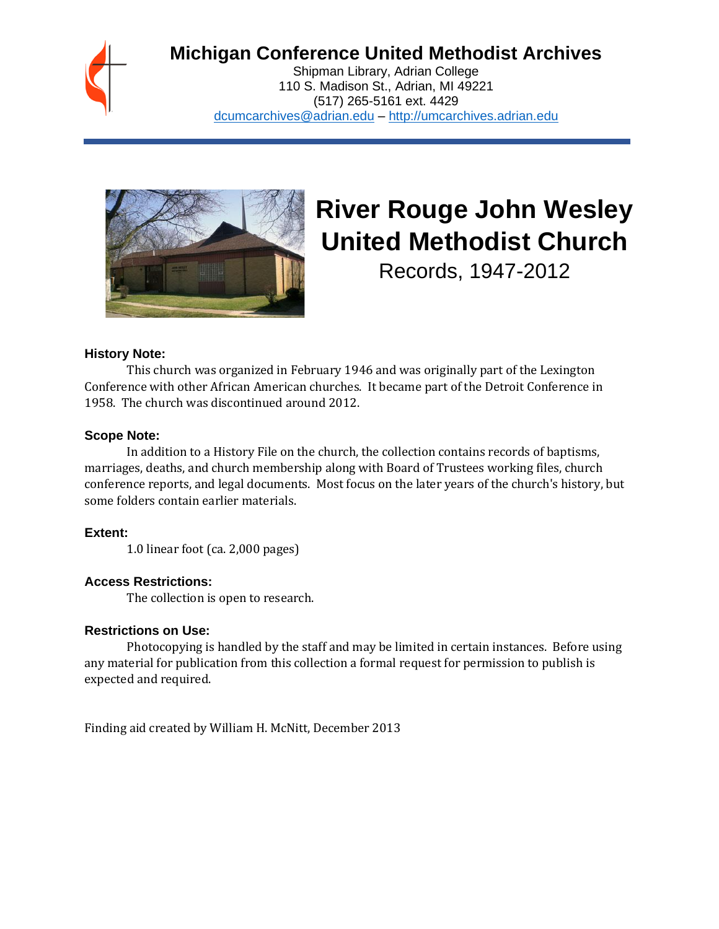

# **Michigan Conference United Methodist Archives**

Shipman Library, Adrian College 110 S. Madison St., Adrian, MI 49221 (517) 265-5161 ext. 4429 [dcumcarchives@adrian.edu](mailto:dcumcarchives@adrian.edu) – [http://umcarchives.adrian.edu](http://umcarchives.adrian.edu/)



# **River Rouge John Wesley United Methodist Church**

Records, 1947-2012

#### **History Note:**

This church was organized in February 1946 and was originally part of the Lexington Conference with other African American churches. It became part of the Detroit Conference in 1958. The church was discontinued around 2012.

#### **Scope Note:**

In addition to a History File on the church, the collection contains records of baptisms, marriages, deaths, and church membership along with Board of Trustees working files, church conference reports, and legal documents. Most focus on the later years of the church's history, but some folders contain earlier materials.

# **Extent:**

1.0 linear foot (ca. 2,000 pages)

# **Access Restrictions:**

The collection is open to research.

#### **Restrictions on Use:**

Photocopying is handled by the staff and may be limited in certain instances. Before using any material for publication from this collection a formal request for permission to publish is expected and required.

Finding aid created by William H. McNitt, December 2013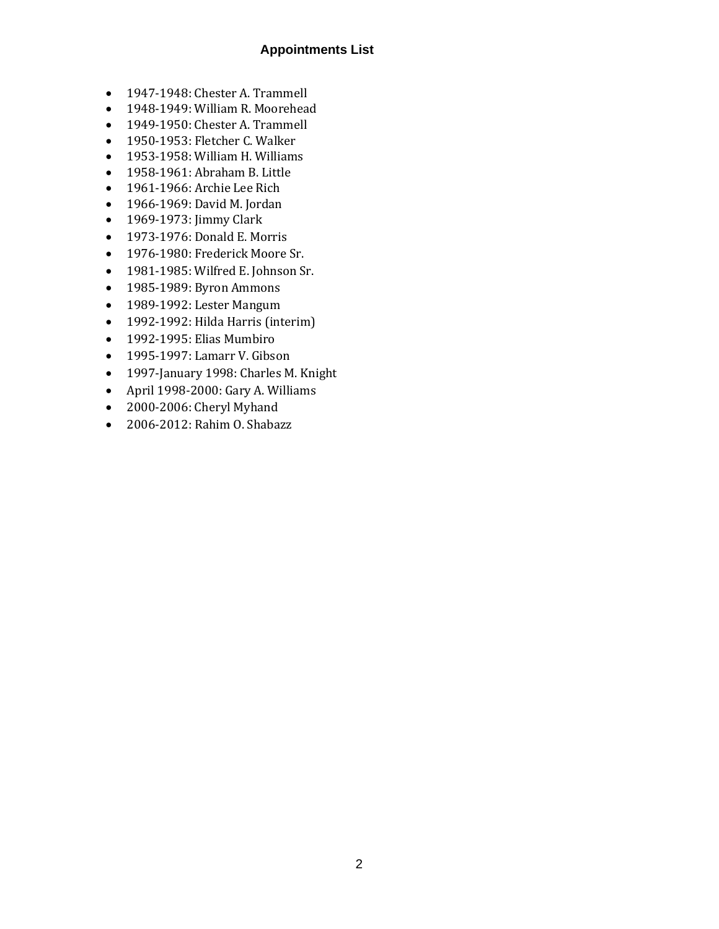#### **Appointments List**

- 1947-1948: Chester A. Trammell
- 1948-1949: William R. Moorehead
- 1949-1950: Chester A. Trammell
- 1950-1953: Fletcher C. Walker
- 1953-1958: William H. Williams
- 1958-1961: Abraham B. Little
- 1961-1966: Archie Lee Rich
- 1966-1969: David M. Jordan
- 1969-1973: Jimmy Clark
- 1973-1976: Donald E. Morris
- 1976-1980: Frederick Moore Sr.
- 1981-1985: Wilfred E. Johnson Sr.
- 1985-1989: Byron Ammons
- 1989-1992: Lester Mangum
- 1992-1992: Hilda Harris (interim)
- 1992-1995: Elias Mumbiro
- 1995-1997: Lamarr V. Gibson
- 1997-January 1998: Charles M. Knight
- April 1998-2000: Gary A. Williams
- 2000-2006: Cheryl Myhand
- 2006-2012: Rahim O. Shabazz